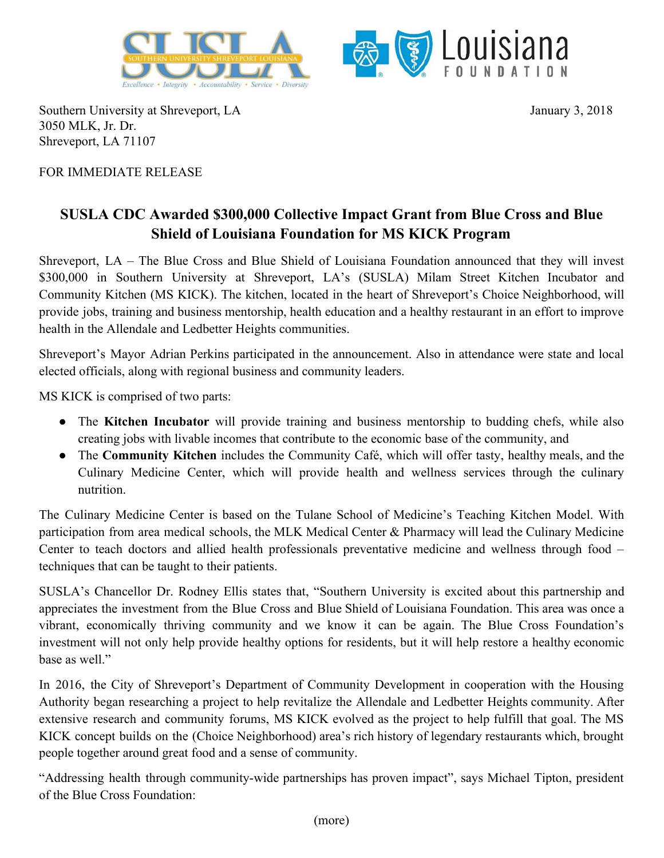



Southern University at Shreveport, LA 3050 MLK, Jr. Dr. Shreveport, LA 71107

January 3, 2018

## FOR IMMEDIATE RELEASE

## **SUSLA CDC Awarded \$300,000 Collective Impact Grant from Blue Cross and Blue Shield of Louisiana Foundation for MS KICK Program**

Shreveport, LA – The Blue Cross and Blue Shield of Louisiana Foundation announced that they will invest \$300,000 in Southern University at Shreveport, LA's (SUSLA) Milam Street Kitchen Incubator and Community Kitchen (MS KICK). The kitchen, located in the heart of Shreveport's Choice Neighborhood, will provide jobs, training and business mentorship, health education and a healthy restaurant in an effort to improve health in the Allendale and Ledbetter Heights communities.

Shreveport's Mayor Adrian Perkins participated in the announcement. Also in attendance were state and local elected officials, along with regional business and community leaders.

MS KICK is comprised of two parts:

- The **Kitchen Incubator** will provide training and business mentorship to budding chefs, while also creating jobs with livable incomes that contribute to the economic base of the community, and
- The **Community Kitchen** includes the Community Café, which will offer tasty, healthy meals, and the Culinary Medicine Center, which will provide health and wellness services through the culinary nutrition.

The Culinary Medicine Center is based on the Tulane School of Medicine's Teaching Kitchen Model. With participation from area medical schools, the MLK Medical Center & Pharmacy will lead the Culinary Medicine Center to teach doctors and allied health professionals preventative medicine and wellness through food – techniques that can be taught to their patients.

SUSLA's Chancellor Dr. Rodney Ellis states that, "Southern University is excited about this partnership and appreciates the investment from the Blue Cross and Blue Shield of Louisiana Foundation. This area was once a vibrant, economically thriving community and we know it can be again. The Blue Cross Foundation's investment will not only help provide healthy options for residents, but it will help restore a healthy economic base as well."

In 2016, the City of Shreveport's Department of Community Development in cooperation with the Housing Authority began researching a project to help revitalize the Allendale and Ledbetter Heights community. After extensive research and community forums, MS KICK evolved as the project to help fulfill that goal. The MS KICK concept builds on the (Choice Neighborhood) area's rich history of legendary restaurants which, brought people together around great food and a sense of community.

"Addressing health through community-wide partnerships has proven impact", says Michael Tipton, president of the Blue Cross Foundation: